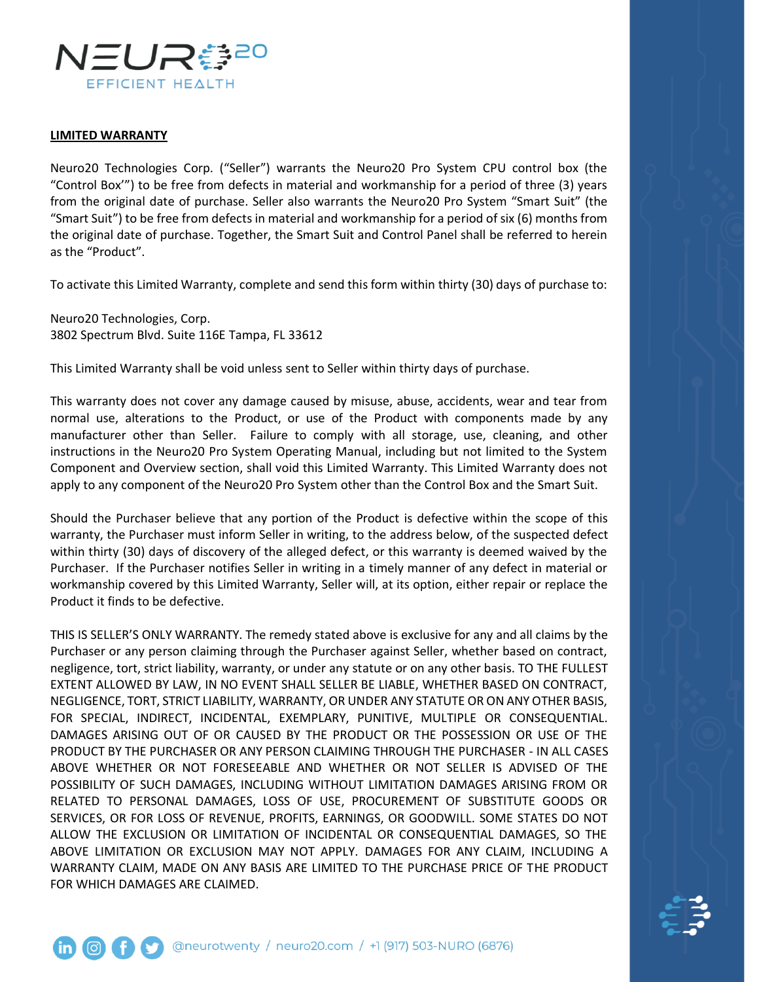

## **LIMITED WARRANTY**

Neuro20 Technologies Corp. ("Seller") warrants the Neuro20 Pro System CPU control box (the "Control Box'") to be free from defects in material and workmanship for a period of three (3) years from the original date of purchase. Seller also warrants the Neuro20 Pro System "Smart Suit" (the "Smart Suit") to be free from defects in material and workmanship for a period of six (6) months from the original date of purchase. Together, the Smart Suit and Control Panel shall be referred to herein as the "Product".

To activate this Limited Warranty, complete and send this form within thirty (30) days of purchase to:

Neuro20 Technologies, Corp. 3802 Spectrum Blvd. Suite 116E Tampa, FL 33612

This Limited Warranty shall be void unless sent to Seller within thirty days of purchase.

This warranty does not cover any damage caused by misuse, abuse, accidents, wear and tear from normal use, alterations to the Product, or use of the Product with components made by any manufacturer other than Seller. Failure to comply with all storage, use, cleaning, and other instructions in the Neuro20 Pro System Operating Manual, including but not limited to the System Component and Overview section, shall void this Limited Warranty. This Limited Warranty does not apply to any component of the Neuro20 Pro System other than the Control Box and the Smart Suit.

Should the Purchaser believe that any portion of the Product is defective within the scope of this warranty, the Purchaser must inform Seller in writing, to the address below, of the suspected defect within thirty (30) days of discovery of the alleged defect, or this warranty is deemed waived by the Purchaser. If the Purchaser notifies Seller in writing in a timely manner of any defect in material or workmanship covered by this Limited Warranty, Seller will, at its option, either repair or replace the Product it finds to be defective.

THIS IS SELLER'S ONLY WARRANTY. The remedy stated above is exclusive for any and all claims by the Purchaser or any person claiming through the Purchaser against Seller, whether based on contract, negligence, tort, strict liability, warranty, or under any statute or on any other basis. TO THE FULLEST EXTENT ALLOWED BY LAW, IN NO EVENT SHALL SELLER BE LIABLE, WHETHER BASED ON CONTRACT, NEGLIGENCE, TORT, STRICT LIABILITY, WARRANTY, OR UNDER ANY STATUTE OR ON ANY OTHER BASIS, FOR SPECIAL, INDIRECT, INCIDENTAL, EXEMPLARY, PUNITIVE, MULTIPLE OR CONSEQUENTIAL. DAMAGES ARISING OUT OF OR CAUSED BY THE PRODUCT OR THE POSSESSION OR USE OF THE PRODUCT BY THE PURCHASER OR ANY PERSON CLAIMING THROUGH THE PURCHASER - IN ALL CASES ABOVE WHETHER OR NOT FORESEEABLE AND WHETHER OR NOT SELLER IS ADVISED OF THE POSSIBILITY OF SUCH DAMAGES, INCLUDING WITHOUT LIMITATION DAMAGES ARISING FROM OR RELATED TO PERSONAL DAMAGES, LOSS OF USE, PROCUREMENT OF SUBSTITUTE GOODS OR SERVICES, OR FOR LOSS OF REVENUE, PROFITS, EARNINGS, OR GOODWILL. SOME STATES DO NOT ALLOW THE EXCLUSION OR LIMITATION OF INCIDENTAL OR CONSEQUENTIAL DAMAGES, SO THE ABOVE LIMITATION OR EXCLUSION MAY NOT APPLY. DAMAGES FOR ANY CLAIM, INCLUDING A WARRANTY CLAIM, MADE ON ANY BASIS ARE LIMITED TO THE PURCHASE PRICE OF THE PRODUCT FOR WHICH DAMAGES ARE CLAIMED.